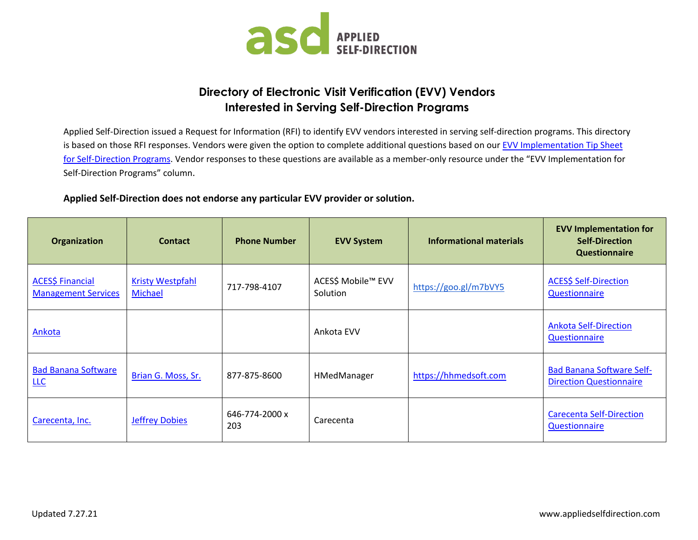

## **Directory of Electronic Visit Verification (EVV) Vendors Interested in Serving Self-Direction Programs**

Applied Self-Direction issued a Request for Information (RFI) to identify EVV vendors interested in serving self-direction programs. This directory is based on those RFI responses. Vendors were given the option to complete additional questions based on our EVV Implementation Tip Sheet [for Self-Direction Programs.](http://www.appliedselfdirection.com/resources/evv-implementation-tip-sheet-self-direction-programs) Vendor responses to these questions are available as a member-only resource under the "EVV Implementation for Self-Direction Programs" column.

## **Applied Self-Direction does not endorse any particular EVV provider or solution.**

| <b>Organization</b>                                   | <b>Contact</b>                     | <b>Phone Number</b>   | <b>EVV System</b>              | <b>Informational materials</b> | <b>EVV Implementation for</b><br><b>Self-Direction</b><br><b>Questionnaire</b> |
|-------------------------------------------------------|------------------------------------|-----------------------|--------------------------------|--------------------------------|--------------------------------------------------------------------------------|
| <b>ACES\$ Financial</b><br><b>Management Services</b> | <b>Kristy Westpfahl</b><br>Michael | 717-798-4107          | ACES\$ Mobile™ EVV<br>Solution | https://goo.gl/m7bVY5          | <b>ACES\$ Self-Direction</b><br><b>Questionnaire</b>                           |
| Ankota                                                |                                    |                       | Ankota EVV                     |                                | <b>Ankota Self-Direction</b><br><b>Questionnaire</b>                           |
| <b>Bad Banana Software</b><br>LLC                     | Brian G. Moss, Sr.                 | 877-875-8600          | HMedManager                    | https://hhmedsoft.com          | <b>Bad Banana Software Self-</b><br><b>Direction Questionnaire</b>             |
| Carecenta, Inc.                                       | <b>Jeffrey Dobies</b>              | 646-774-2000 x<br>203 | Carecenta                      |                                | <b>Carecenta Self-Direction</b><br><b>Questionnaire</b>                        |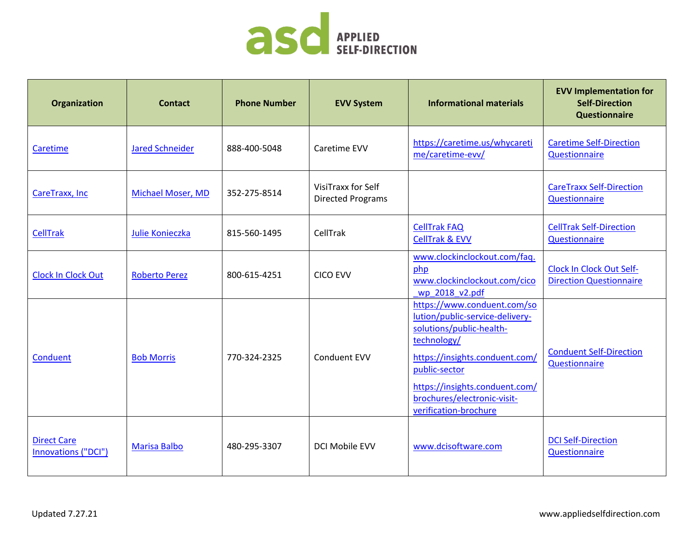

| Organization                              | <b>Contact</b>           | <b>Phone Number</b> | <b>EVV System</b>                              | <b>Informational materials</b>                                                                                                                                                                                                                         | <b>EVV Implementation for</b><br><b>Self-Direction</b><br><b>Questionnaire</b> |
|-------------------------------------------|--------------------------|---------------------|------------------------------------------------|--------------------------------------------------------------------------------------------------------------------------------------------------------------------------------------------------------------------------------------------------------|--------------------------------------------------------------------------------|
| Caretime                                  | <b>Jared Schneider</b>   | 888-400-5048        | Caretime EVV                                   | https://caretime.us/whycareti<br>me/caretime-evv/                                                                                                                                                                                                      | <b>Caretime Self-Direction</b><br>Questionnaire                                |
| CareTraxx, Inc                            | <b>Michael Moser, MD</b> | 352-275-8514        | VisiTraxx for Self<br><b>Directed Programs</b> |                                                                                                                                                                                                                                                        | <b>CareTraxx Self-Direction</b><br>Questionnaire                               |
| <b>CellTrak</b>                           | Julie Konieczka          | 815-560-1495        | CellTrak                                       | <b>CellTrak FAQ</b><br><b>CellTrak &amp; EVV</b>                                                                                                                                                                                                       | <b>CellTrak Self-Direction</b><br>Questionnaire                                |
| <b>Clock In Clock Out</b>                 | <b>Roberto Perez</b>     | 800-615-4251        | <b>CICO EVV</b>                                | www.clockinclockout.com/faq.<br>php<br>www.clockinclockout.com/cico<br>wp_2018_v2.pdf                                                                                                                                                                  | <b>Clock In Clock Out Self-</b><br><b>Direction Questionnaire</b>              |
| Conduent                                  | <b>Bob Morris</b>        | 770-324-2325        | <b>Conduent EVV</b>                            | https://www.conduent.com/so<br>lution/public-service-delivery-<br>solutions/public-health-<br>technology/<br>https://insights.conduent.com/<br>public-sector<br>https://insights.conduent.com/<br>brochures/electronic-visit-<br>verification-brochure | <b>Conduent Self-Direction</b><br>Questionnaire                                |
| <b>Direct Care</b><br>Innovations ("DCI") | <b>Marisa Balbo</b>      | 480-295-3307        | DCI Mobile EVV                                 | www.dcisoftware.com                                                                                                                                                                                                                                    | <b>DCI Self-Direction</b><br>Questionnaire                                     |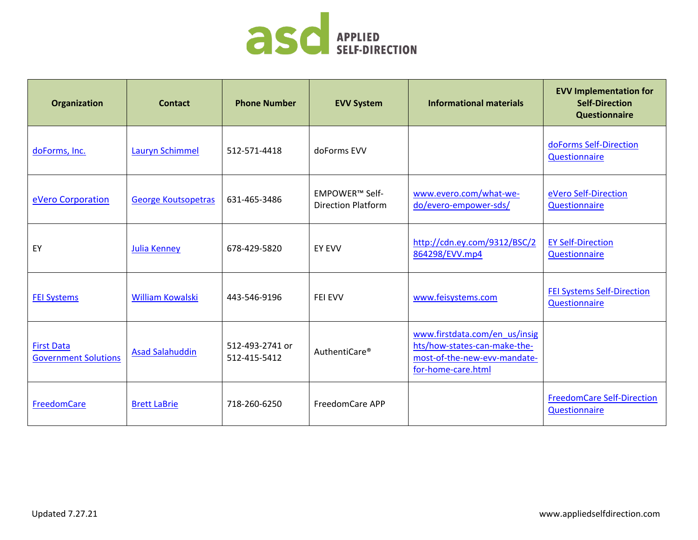

| <b>Organization</b>                              | <b>Contact</b>             | <b>Phone Number</b>             | <b>EVV System</b>                           | <b>Informational materials</b>                                                                                      | <b>EVV Implementation for</b><br><b>Self-Direction</b><br><b>Questionnaire</b> |
|--------------------------------------------------|----------------------------|---------------------------------|---------------------------------------------|---------------------------------------------------------------------------------------------------------------------|--------------------------------------------------------------------------------|
| doForms, Inc.                                    | Lauryn Schimmel            | 512-571-4418                    | doForms EVV                                 |                                                                                                                     | doForms Self-Direction<br>Questionnaire                                        |
| eVero Corporation                                | <b>George Koutsopetras</b> | 631-465-3486                    | EMPOWER™ Self-<br><b>Direction Platform</b> | www.evero.com/what-we-<br>do/evero-empower-sds/                                                                     | eVero Self-Direction<br>Questionnaire                                          |
| EY                                               | <b>Julia Kenney</b>        | 678-429-5820                    | <b>EY EVV</b>                               | http://cdn.ey.com/9312/BSC/2<br>864298/EVV.mp4                                                                      | <b>EY Self-Direction</b><br>Questionnaire                                      |
| <b>FEI Systems</b>                               | <b>William Kowalski</b>    | 443-546-9196                    | <b>FEI EVV</b>                              | www.feisystems.com                                                                                                  | <b>FEI Systems Self-Direction</b><br>Questionnaire                             |
| <b>First Data</b><br><b>Government Solutions</b> | <b>Asad Salahuddin</b>     | 512-493-2741 or<br>512-415-5412 | AuthentiCare <sup>®</sup>                   | www.firstdata.com/en_us/insig<br>hts/how-states-can-make-the-<br>most-of-the-new-evv-mandate-<br>for-home-care.html |                                                                                |
| FreedomCare                                      | <b>Brett LaBrie</b>        | 718-260-6250                    | FreedomCare APP                             |                                                                                                                     | <b>FreedomCare Self-Direction</b><br>Questionnaire                             |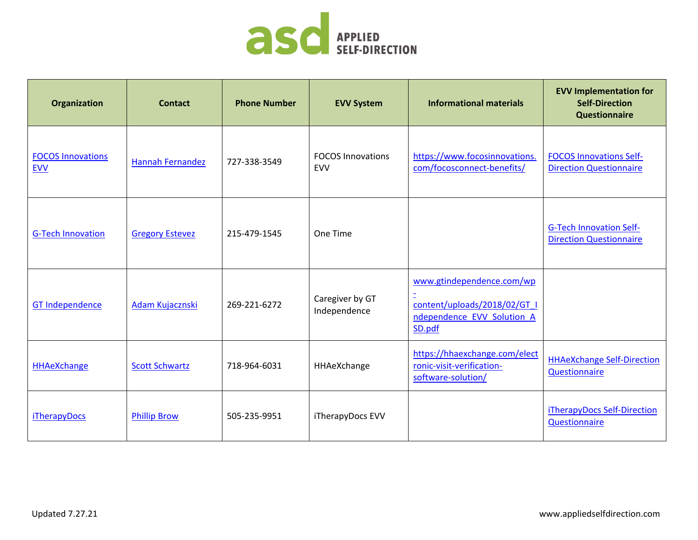

| Organization                           | <b>Contact</b>          | <b>Phone Number</b> | <b>EVV System</b>                      | <b>Informational materials</b>                                                                    | <b>EVV Implementation for</b><br><b>Self-Direction</b><br><b>Questionnaire</b> |
|----------------------------------------|-------------------------|---------------------|----------------------------------------|---------------------------------------------------------------------------------------------------|--------------------------------------------------------------------------------|
| <b>FOCOS Innovations</b><br><b>EVV</b> | <b>Hannah Fernandez</b> | 727-338-3549        | <b>FOCOS Innovations</b><br><b>EVV</b> | https://www.focosinnovations.<br>com/focosconnect-benefits/                                       | <b>FOCOS Innovations Self-</b><br><b>Direction Questionnaire</b>               |
| <b>G-Tech Innovation</b>               | <b>Gregory Estevez</b>  | 215-479-1545        | One Time                               |                                                                                                   | <b>G-Tech Innovation Self-</b><br><b>Direction Questionnaire</b>               |
| <b>GT Independence</b>                 | Adam Kujacznski         | 269-221-6272        | Caregiver by GT<br>Independence        | www.gtindependence.com/wp<br>content/uploads/2018/02/GT I<br>ndependence EVV Solution A<br>SD.pdf |                                                                                |
| <b>HHAeXchange</b>                     | <b>Scott Schwartz</b>   | 718-964-6031        | HHAeXchange                            | https://hhaexchange.com/elect<br>ronic-visit-verification-<br>software-solution/                  | <b>HHAeXchange Self-Direction</b><br>Questionnaire                             |
| <b>iTherapyDocs</b>                    | <b>Phillip Brow</b>     | 505-235-9951        | iTherapyDocs EVV                       |                                                                                                   | iTherapyDocs Self-Direction<br>Questionnaire                                   |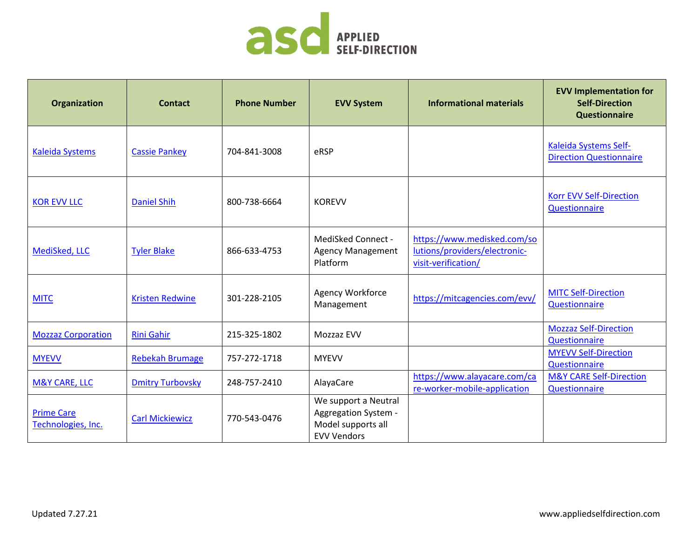

| Organization                            | <b>Contact</b>          | <b>Phone Number</b> | <b>EVV System</b>                                                                        | <b>Informational materials</b>                                                      | <b>EVV Implementation for</b><br><b>Self-Direction</b><br><b>Questionnaire</b> |
|-----------------------------------------|-------------------------|---------------------|------------------------------------------------------------------------------------------|-------------------------------------------------------------------------------------|--------------------------------------------------------------------------------|
| <b>Kaleida Systems</b>                  | <b>Cassie Pankey</b>    | 704-841-3008        | eRSP                                                                                     |                                                                                     | Kaleida Systems Self-<br><b>Direction Questionnaire</b>                        |
| <b>KOR EVV LLC</b>                      | <b>Daniel Shih</b>      | 800-738-6664        | <b>KOREVV</b>                                                                            |                                                                                     | <b>Korr EVV Self-Direction</b><br>Questionnaire                                |
| MediSked, LLC                           | <b>Tyler Blake</b>      | 866-633-4753        | MediSked Connect -<br><b>Agency Management</b><br>Platform                               | https://www.medisked.com/so<br>lutions/providers/electronic-<br>visit-verification/ |                                                                                |
| <b>MITC</b>                             | <b>Kristen Redwine</b>  | 301-228-2105        | Agency Workforce<br>Management                                                           | https://mitcagencies.com/evv/                                                       | <b>MITC Self-Direction</b><br>Questionnaire                                    |
| <b>Mozzaz Corporation</b>               | <b>Rini Gahir</b>       | 215-325-1802        | Mozzaz EVV                                                                               |                                                                                     | <b>Mozzaz Self-Direction</b><br>Questionnaire                                  |
| <b>MYEVV</b>                            | <b>Rebekah Brumage</b>  | 757-272-1718        | <b>MYEVV</b>                                                                             |                                                                                     | <b>MYEVV Self-Direction</b><br>Questionnaire                                   |
| <b>M&amp;Y CARE, LLC</b>                | <b>Dmitry Turbovsky</b> | 248-757-2410        | AlayaCare                                                                                | https://www.alayacare.com/ca<br>re-worker-mobile-application                        | <b>M&amp;Y CARE Self-Direction</b><br>Questionnaire                            |
| <b>Prime Care</b><br>Technologies, Inc. | <b>Carl Mickiewicz</b>  | 770-543-0476        | We support a Neutral<br>Aggregation System -<br>Model supports all<br><b>EVV Vendors</b> |                                                                                     |                                                                                |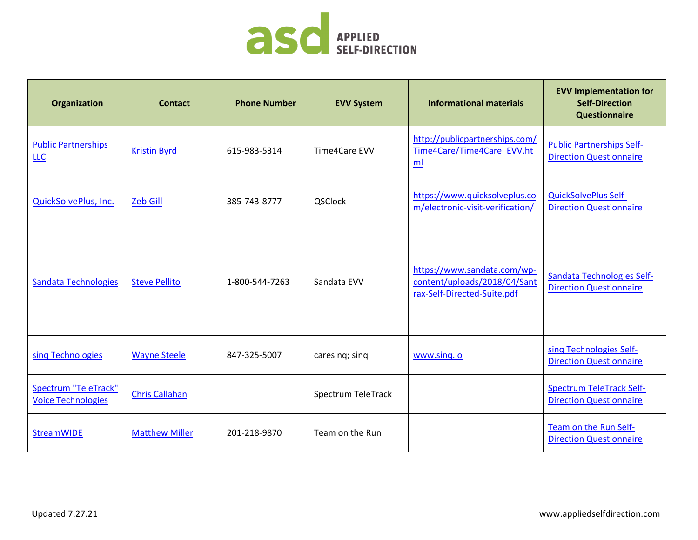

| Organization                                             | <b>Contact</b>        | <b>Phone Number</b> | <b>EVV System</b>  | <b>Informational materials</b>                                                             | <b>EVV Implementation for</b><br><b>Self-Direction</b><br><b>Questionnaire</b> |
|----------------------------------------------------------|-----------------------|---------------------|--------------------|--------------------------------------------------------------------------------------------|--------------------------------------------------------------------------------|
| <b>Public Partnerships</b><br>LLC                        | <b>Kristin Byrd</b>   | 615-983-5314        | Time4Care EVV      | http://publicpartnerships.com/<br>Time4Care/Time4Care_EVV.ht<br>ml                         | <b>Public Partnerships Self-</b><br><b>Direction Questionnaire</b>             |
| <b>QuickSolvePlus, Inc.</b>                              | <b>Zeb Gill</b>       | 385-743-8777        | QSClock            | https://www.quicksolveplus.co<br>m/electronic-visit-verification/                          | <b>QuickSolvePlus Self-</b><br><b>Direction Questionnaire</b>                  |
| Sandata Technologies                                     | <b>Steve Pellito</b>  | 1-800-544-7263      | Sandata EVV        | https://www.sandata.com/wp-<br>content/uploads/2018/04/Sant<br>rax-Self-Directed-Suite.pdf | Sandata Technologies Self-<br><b>Direction Questionnaire</b>                   |
| sing Technologies                                        | <b>Wayne Steele</b>   | 847-325-5007        | caresing; sing     | www.sing.io                                                                                | sing Technologies Self-<br><b>Direction Questionnaire</b>                      |
| <b>Spectrum "TeleTrack"</b><br><b>Voice Technologies</b> | <b>Chris Callahan</b> |                     | Spectrum TeleTrack |                                                                                            | <b>Spectrum TeleTrack Self-</b><br><b>Direction Questionnaire</b>              |
| <b>StreamWIDE</b>                                        | <b>Matthew Miller</b> | 201-218-9870        | Team on the Run    |                                                                                            | Team on the Run Self-<br><b>Direction Questionnaire</b>                        |